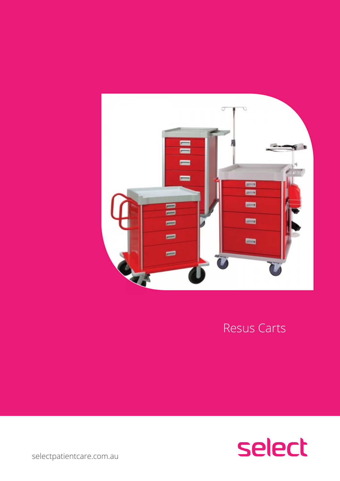selectpatientcare.com.au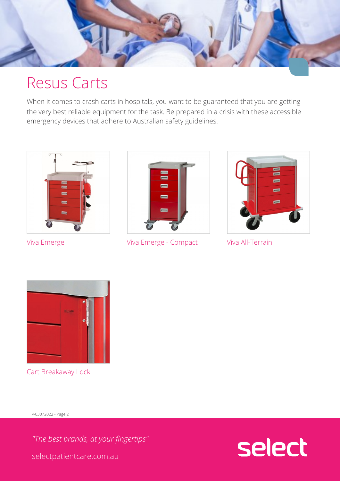# Resus Carts

When it comes to crash carts in hospitals, you want to be the very best reliable equipment for the task. Be prepared emergency devices that adhere to Australian safety guidel



Viva Emerge **Viva Emerge - Co** Viva All-Terrain



Cart Breakaway L

v-03072022 - Page 2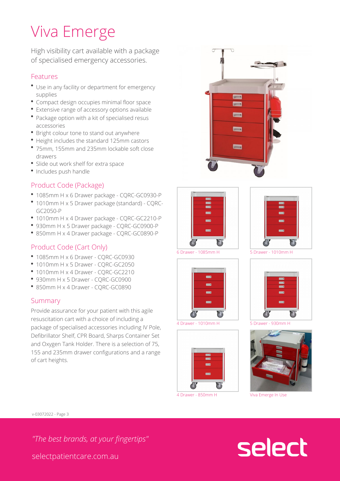# Viva Emerge

High visibility cart availab of specialised emergency a

### Features

- \* Use in any facility or departmer supplies
- Compact design occupies minim
- **Extensive range of accessory options**
- \* Package option with a kit of spe accessories
- **\*** Bright colour tone to stand out
- Height includes the standard 12
- $*$  75mm, 155mm and 235mm lockal drawers
- \* Slide out work shelf for extra space
- Includes push handle

## Product Code (Package)

- 1085mm H x 6 Drawer package -
- \* 1010mm H x 5 Drawer package ( GC2050-P
- 1010mm H x 4 Drawer package -
- 930mm H x 5 Drawer package -
- 850mm H x 4 Drawer package -

### Product Code (Cart Only)

- $\bullet$  1085mm H x 6 Drawer CQRC-G
- $^{\bullet}$  1010mm H x 5 Drawer CQRC-G
- \* 1010mm H x 4 Drawer CQRC-G
- \* 930mm H x 5 Drawer CQRC-GC
- $\bullet$  850mm H x 4 Drawer CORC-GC

### Summary

Provide assurance for your patient resuscitation cart with a choice of Defibrillator Shelf, CPR Board, S and Oxygen Tank Holder. There i 155 and 235mm drawer configurations of cart heights.



v-03072022 - Page 3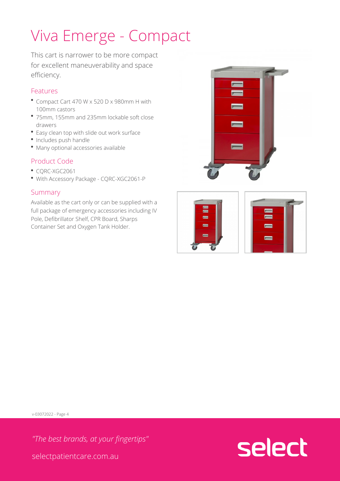# Viva Emerge - Compact

This cart is narrower to be for excellent maneuverabili efficiency.

### Features

- \* Compact Cart 470 W x 520 D x 9 100mm castors
- $°$  75mm, 155mm and 235mm lockal drawers
- Easy clean top with slide out wo
- Includes push handle
- $\bullet$  Many optional accessories avail

### Product Code

- CQRC-XGC2061
- . With Accessory Package CQRC

### Summary

Available as the cart only or can full package of emergency access Pole, Defibrillator Shelf, CPR Bo Container Set and Oxygen Tank F

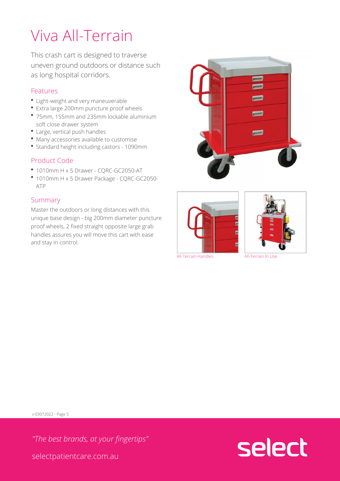# Viva All-Terrain

This crash cart is designed uneven ground outdoors or as long hospital corridors.

### Features

- Light-weight and very maneuver
- \* Extra large 200mm puncture pro
- $*$  75mm, 155mm and 235mm lockal soft close drawer system
- Large, vertical push handles
- $^{\bullet}$  Many accessories available to c
- Standard height including casto

### Product Code

- $^{\bullet}$  1010mm H x 5 Drawer CQRC-G
- \* 1010mm H x 5 Drawer Package -ATP

## Summary

Master the outdoors or long distances  $M$ unique base design - big 200mm proof wheels, 2 fixed straight op handles assures you will move the and stay in control.





All-Terrain Handles All-Terrain In Use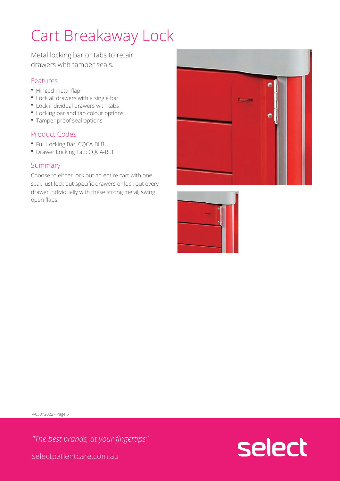# Cart Breakaway Lock

Metal locking bar or tabs  $t_1$ drawers with tamper seals.

## Features

- Hinged metal flap
- Lock all drawers with a single b
- Lock individual drawers with tat
- Locking bar and tab colour option
- Tamper proof seal options

### Product Codes

- Full Locking Bar; CQCA-BLB
- Drawer Locking Tab; CQCA-BLT

### Summary

Choose to either lock out an enti seal, just lock out specific drawe drawer individually with these st open flaps.



v-03072022 - Page 6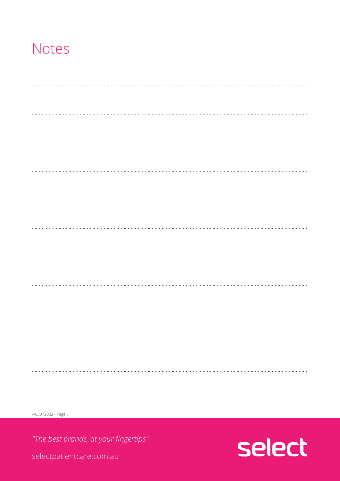## Notes

| $v - 03072022 - Page$ 7 |  |
|-------------------------|--|